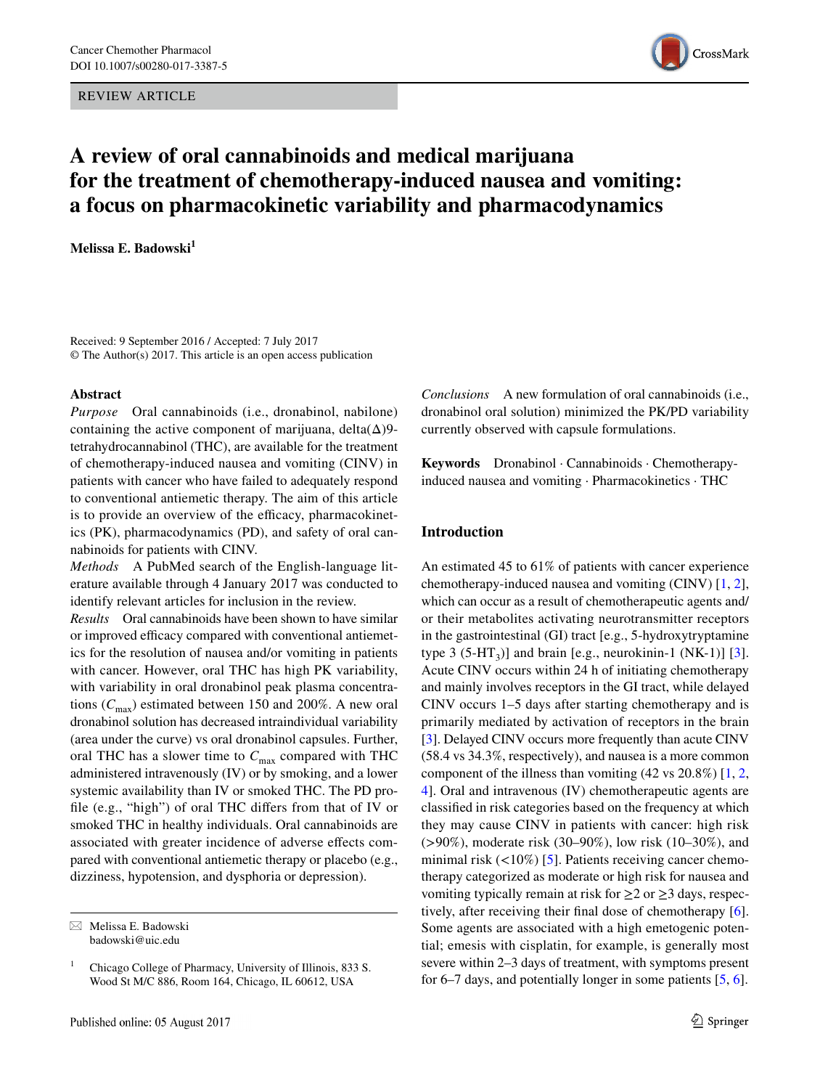REVIEW ARTICLE



# **A review of oral cannabinoids and medical marijuana for the treatment of chemotherapy‑induced nausea and vomiting: a focus on pharmacokinetic variability and pharmacodynamics**

**Melissa E. Badowski<sup>1</sup>**

Received: 9 September 2016 / Accepted: 7 July 2017 © The Author(s) 2017. This article is an open access publication

### **Abstract**

*Purpose* Oral cannabinoids (i.e., dronabinol, nabilone) containing the active component of marijuana, delta $(\Delta)9$ tetrahydrocannabinol (THC), are available for the treatment of chemotherapy-induced nausea and vomiting (CINV) in patients with cancer who have failed to adequately respond to conventional antiemetic therapy. The aim of this article is to provide an overview of the efficacy, pharmacokinetics (PK), pharmacodynamics (PD), and safety of oral cannabinoids for patients with CINV.

*Methods* A PubMed search of the English-language literature available through 4 January 2017 was conducted to identify relevant articles for inclusion in the review.

*Results* Oral cannabinoids have been shown to have similar or improved efficacy compared with conventional antiemetics for the resolution of nausea and/or vomiting in patients with cancer. However, oral THC has high PK variability, with variability in oral dronabinol peak plasma concentrations  $(C_{\text{max}})$  estimated between 150 and 200%. A new oral dronabinol solution has decreased intraindividual variability (area under the curve) vs oral dronabinol capsules. Further, oral THC has a slower time to  $C_{\text{max}}$  compared with THC administered intravenously (IV) or by smoking, and a lower systemic availability than IV or smoked THC. The PD profle (e.g., "high") of oral THC difers from that of IV or smoked THC in healthy individuals. Oral cannabinoids are associated with greater incidence of adverse efects compared with conventional antiemetic therapy or placebo (e.g., dizziness, hypotension, and dysphoria or depression).

*Conclusions* A new formulation of oral cannabinoids (i.e., dronabinol oral solution) minimized the PK/PD variability currently observed with capsule formulations.

**Keywords** Dronabinol · Cannabinoids · Chemotherapyinduced nausea and vomiting · Pharmacokinetics · THC

# **Introduction**

An estimated 45 to 61% of patients with cancer experience chemotherapy-induced nausea and vomiting (CINV) [\[1](#page-6-0), [2](#page-6-1)], which can occur as a result of chemotherapeutic agents and/ or their metabolites activating neurotransmitter receptors in the gastrointestinal (GI) tract [e.g., 5-hydroxytryptamine type  $3$  (5-HT<sub>3</sub>)] and brain [e.g., neurokinin-1 (NK-1)] [\[3](#page-6-2)]. Acute CINV occurs within 24 h of initiating chemotherapy and mainly involves receptors in the GI tract, while delayed CINV occurs 1–5 days after starting chemotherapy and is primarily mediated by activation of receptors in the brain [\[3](#page-6-2)]. Delayed CINV occurs more frequently than acute CINV (58.4 vs 34.3%, respectively), and nausea is a more common component of the illness than vomiting (42 vs 20.8%) [[1,](#page-6-0) [2,](#page-6-1) [4](#page-6-3)]. Oral and intravenous (IV) chemotherapeutic agents are classifed in risk categories based on the frequency at which they may cause CINV in patients with cancer: high risk (>90%), moderate risk (30–90%), low risk (10–30%), and minimal risk  $\left($  <10%) [\[5](#page-6-4)]. Patients receiving cancer chemotherapy categorized as moderate or high risk for nausea and vomiting typically remain at risk for  $\geq$  2 or  $\geq$  3 days, respectively, after receiving their fnal dose of chemotherapy [\[6](#page-6-5)]. Some agents are associated with a high emetogenic potential; emesis with cisplatin, for example, is generally most severe within 2–3 days of treatment, with symptoms present for 6–7 days, and potentially longer in some patients [[5,](#page-6-4) [6\]](#page-6-5).

 $\boxtimes$  Melissa E. Badowski badowski@uic.edu

<sup>&</sup>lt;sup>1</sup> Chicago College of Pharmacy, University of Illinois, 833 S. Wood St M/C 886, Room 164, Chicago, IL 60612, USA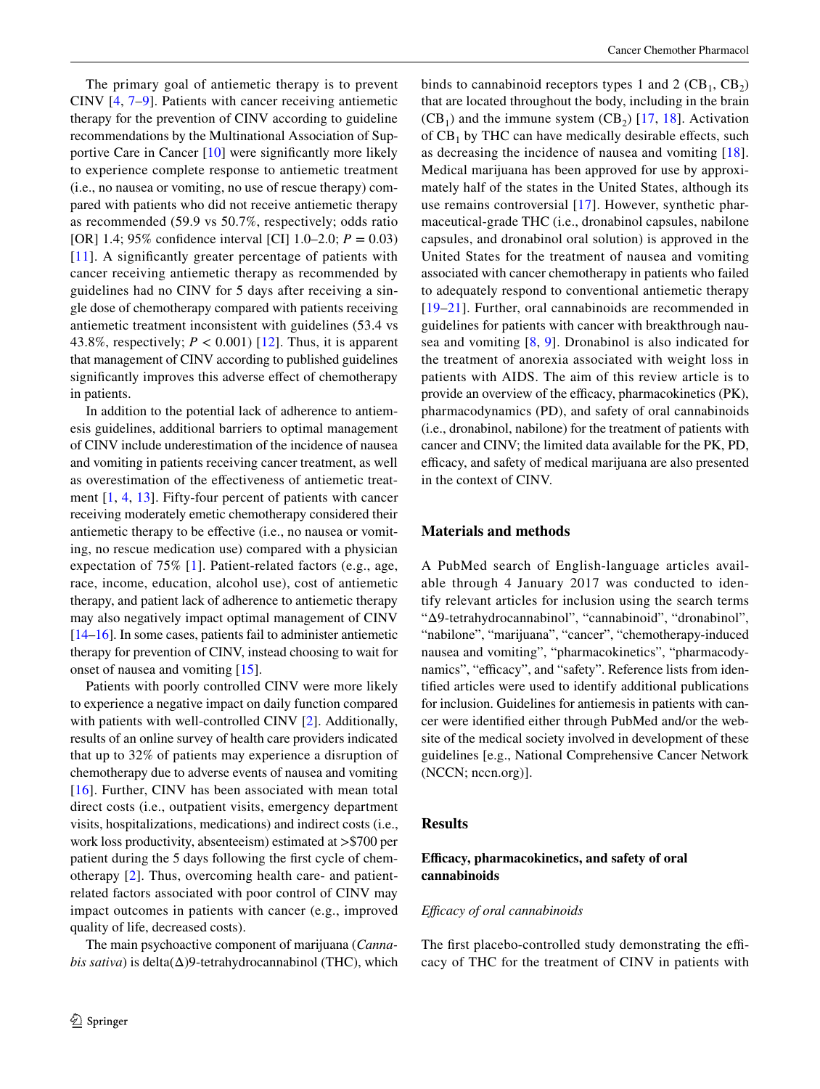The primary goal of antiemetic therapy is to prevent CINV [\[4,](#page-6-3) [7](#page-7-0)–[9\]](#page-7-1). Patients with cancer receiving antiemetic therapy for the prevention of CINV according to guideline recommendations by the Multinational Association of Supportive Care in Cancer [[10\]](#page-7-2) were signifcantly more likely to experience complete response to antiemetic treatment (i.e., no nausea or vomiting, no use of rescue therapy) compared with patients who did not receive antiemetic therapy as recommended (59.9 vs 50.7%, respectively; odds ratio [OR] 1.4; 95% confdence interval [CI] 1.0–2.0; *P* = 0.03) [[11\]](#page-7-3). A significantly greater percentage of patients with cancer receiving antiemetic therapy as recommended by guidelines had no CINV for 5 days after receiving a single dose of chemotherapy compared with patients receiving antiemetic treatment inconsistent with guidelines (53.4 vs 43.8%, respectively;  $P < 0.001$ ) [[12\]](#page-7-4). Thus, it is apparent that management of CINV according to published guidelines significantly improves this adverse effect of chemotherapy in patients.

In addition to the potential lack of adherence to antiemesis guidelines, additional barriers to optimal management of CINV include underestimation of the incidence of nausea and vomiting in patients receiving cancer treatment, as well as overestimation of the efectiveness of antiemetic treatment [[1,](#page-6-0) [4,](#page-6-3) [13](#page-7-5)]. Fifty-four percent of patients with cancer receiving moderately emetic chemotherapy considered their antiemetic therapy to be efective (i.e., no nausea or vomiting, no rescue medication use) compared with a physician expectation of 75% [\[1\]](#page-6-0). Patient-related factors (e.g., age, race, income, education, alcohol use), cost of antiemetic therapy, and patient lack of adherence to antiemetic therapy may also negatively impact optimal management of CINV [\[14](#page-7-6)[–16](#page-7-7)]. In some cases, patients fail to administer antiemetic therapy for prevention of CINV, instead choosing to wait for onset of nausea and vomiting [[15\]](#page-7-8).

Patients with poorly controlled CINV were more likely to experience a negative impact on daily function compared with patients with well-controlled CINV [[2\]](#page-6-1). Additionally, results of an online survey of health care providers indicated that up to 32% of patients may experience a disruption of chemotherapy due to adverse events of nausea and vomiting [[16\]](#page-7-7). Further, CINV has been associated with mean total direct costs (i.e., outpatient visits, emergency department visits, hospitalizations, medications) and indirect costs (i.e., work loss productivity, absenteeism) estimated at >\$700 per patient during the 5 days following the frst cycle of chemotherapy [[2](#page-6-1)]. Thus, overcoming health care- and patientrelated factors associated with poor control of CINV may impact outcomes in patients with cancer (e.g., improved quality of life, decreased costs).

The main psychoactive component of marijuana (*Cannabis sativa*) is delta(Δ)9-tetrahydrocannabinol (THC), which binds to cannabinoid receptors types 1 and 2  $(CB_1, CB_2)$ that are located throughout the body, including in the brain  $(CB<sub>1</sub>)$  and the immune system  $(CB<sub>2</sub>)$  [[17,](#page-7-9) [18\]](#page-7-10). Activation of  $CB_1$  by THC can have medically desirable effects, such as decreasing the incidence of nausea and vomiting [[18](#page-7-10)]. Medical marijuana has been approved for use by approximately half of the states in the United States, although its use remains controversial [[17](#page-7-9)]. However, synthetic pharmaceutical-grade THC (i.e., dronabinol capsules, nabilone capsules, and dronabinol oral solution) is approved in the United States for the treatment of nausea and vomiting associated with cancer chemotherapy in patients who failed to adequately respond to conventional antiemetic therapy [[19](#page-7-11)[–21\]](#page-7-12). Further, oral cannabinoids are recommended in guidelines for patients with cancer with breakthrough nausea and vomiting [[8,](#page-7-13) [9\]](#page-7-1). Dronabinol is also indicated for the treatment of anorexia associated with weight loss in patients with AIDS. The aim of this review article is to provide an overview of the efficacy, pharmacokinetics (PK), pharmacodynamics (PD), and safety of oral cannabinoids (i.e., dronabinol, nabilone) for the treatment of patients with cancer and CINV; the limited data available for the PK, PD, efficacy, and safety of medical marijuana are also presented in the context of CINV.

# **Materials and methods**

A PubMed search of English-language articles available through 4 January 2017 was conducted to identify relevant articles for inclusion using the search terms "Δ9-tetrahydrocannabinol", "cannabinoid", "dronabinol", "nabilone", "marijuana", "cancer", "chemotherapy-induced nausea and vomiting", "pharmacokinetics", "pharmacodynamics", "efficacy", and "safety". Reference lists from identifed articles were used to identify additional publications for inclusion. Guidelines for antiemesis in patients with cancer were identifed either through PubMed and/or the website of the medical society involved in development of these guidelines [e.g., National Comprehensive Cancer Network (NCCN; nccn.org)].

### **Results**

# **Efcacy, pharmacokinetics, and safety of oral cannabinoids**

### *Efcacy of oral cannabinoids*

The first placebo-controlled study demonstrating the efficacy of THC for the treatment of CINV in patients with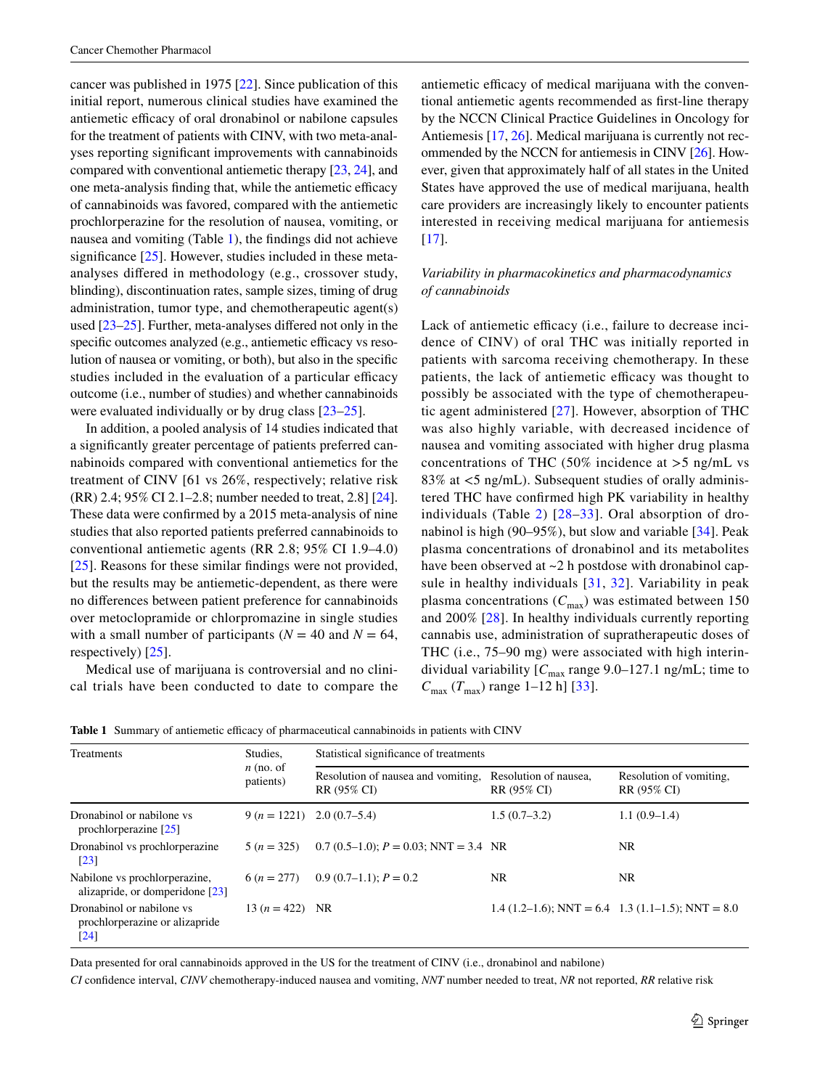cancer was published in 1975 [[22\]](#page-7-14). Since publication of this initial report, numerous clinical studies have examined the antiemetic efficacy of oral dronabinol or nabilone capsules for the treatment of patients with CINV, with two meta-analyses reporting signifcant improvements with cannabinoids compared with conventional antiemetic therapy [[23](#page-7-15), [24\]](#page-7-16), and one meta-analysis finding that, while the antiemetic efficacy of cannabinoids was favored, compared with the antiemetic prochlorperazine for the resolution of nausea, vomiting, or nausea and vomiting (Table [1](#page-2-0)), the fndings did not achieve significance  $[25]$  $[25]$ . However, studies included in these metaanalyses difered in methodology (e.g., crossover study, blinding), discontinuation rates, sample sizes, timing of drug administration, tumor type, and chemotherapeutic agent(s) used [[23–](#page-7-15)[25\]](#page-7-17). Further, meta-analyses difered not only in the specific outcomes analyzed (e.g., antiemetic efficacy vs resolution of nausea or vomiting, or both), but also in the specifc studies included in the evaluation of a particular efficacy outcome (i.e., number of studies) and whether cannabinoids were evaluated individually or by drug class [[23–](#page-7-15)[25\]](#page-7-17).

In addition, a pooled analysis of 14 studies indicated that a signifcantly greater percentage of patients preferred cannabinoids compared with conventional antiemetics for the treatment of CINV [61 vs 26%, respectively; relative risk (RR) 2.4; 95% CI 2.1–2.8; number needed to treat, 2.8] [\[24](#page-7-16)]. These data were confrmed by a 2015 meta-analysis of nine studies that also reported patients preferred cannabinoids to conventional antiemetic agents (RR 2.8; 95% CI 1.9–4.0) [\[25\]](#page-7-17). Reasons for these similar findings were not provided, but the results may be antiemetic-dependent, as there were no diferences between patient preference for cannabinoids over metoclopramide or chlorpromazine in single studies with a small number of participants ( $N = 40$  and  $N = 64$ , respectively) [[25\]](#page-7-17).

Medical use of marijuana is controversial and no clinical trials have been conducted to date to compare the antiemetic efficacy of medical marijuana with the conventional antiemetic agents recommended as frst-line therapy by the NCCN Clinical Practice Guidelines in Oncology for Antiemesis [[17,](#page-7-9) [26](#page-7-18)]. Medical marijuana is currently not recommended by the NCCN for antiemesis in CINV [\[26](#page-7-18)]. However, given that approximately half of all states in the United States have approved the use of medical marijuana, health care providers are increasingly likely to encounter patients interested in receiving medical marijuana for antiemesis  $[17]$  $[17]$ .

# *Variability in pharmacokinetics and pharmacodynamics of cannabinoids*

Lack of antiemetic efficacy (i.e., failure to decrease incidence of CINV) of oral THC was initially reported in patients with sarcoma receiving chemotherapy. In these patients, the lack of antiemetic efficacy was thought to possibly be associated with the type of chemotherapeutic agent administered [\[27\]](#page-7-19). However, absorption of THC was also highly variable, with decreased incidence of nausea and vomiting associated with higher drug plasma concentrations of THC (50% incidence at  $>$ 5 ng/mL vs 83% at <5 ng/mL). Subsequent studies of orally administered THC have confrmed high PK variability in healthy individuals (Table [2](#page-3-0)) [\[28](#page-7-20)[–33\]](#page-7-21). Oral absorption of dronabinol is high (90–95%), but slow and variable [[34](#page-7-22)]. Peak plasma concentrations of dronabinol and its metabolites have been observed at  $\sim$ 2 h postdose with dronabinol capsule in healthy individuals [[31,](#page-7-23) [32](#page-7-24)]. Variability in peak plasma concentrations ( $C_{\text{max}}$ ) was estimated between 150 and 200% [\[28](#page-7-20)]. In healthy individuals currently reporting cannabis use, administration of supratherapeutic doses of THC (i.e., 75–90 mg) were associated with high interindividual variability  $[C_{\text{max}}$  range 9.0–127.1 ng/mL; time to  $C_{\text{max}}$  ( $T_{\text{max}}$ ) range 1–12 h] [\[33\]](#page-7-21).

| Treatments                                                                        | Studies.<br>$n$ (no. of<br>patients) | Statistical significance of treatments            |                                      |                                                         |  |
|-----------------------------------------------------------------------------------|--------------------------------------|---------------------------------------------------|--------------------------------------|---------------------------------------------------------|--|
|                                                                                   |                                      | Resolution of nausea and vomiting.<br>RR (95% CI) | Resolution of nausea,<br>RR (95% CI) | Resolution of vomiting.<br>RR (95% CI)                  |  |
| Dronabinol or nabilone vs<br>prochlorperazine $[25]$                              | $9 (n = 1221)$ $2.0 (0.7-5.4)$       |                                                   | $1.5(0.7-3.2)$                       | $1.1(0.9-1.4)$                                          |  |
| Dronabinol vs prochlorperazine<br>$\lceil 23 \rceil$                              | $5(n=325)$                           | $0.7(0.5-1.0); P = 0.03; NNT = 3.4; NR$           |                                      | NR.                                                     |  |
| Nabilone vs prochlorperazine,<br>alizapride, or domperidone $[23]$                |                                      | $6 (n = 277)$ 0.9 (0.7–1.1); $P = 0.2$            | NR                                   | NR.                                                     |  |
| Dronabinol or nabilone vs<br>prochlorperazine or alizapride<br>$\lceil 24 \rceil$ | 13 $(n = 422)$ NR                    |                                                   |                                      | 1.4 $(1.2-1.6)$ ; NNT = 6.4 1.3 $(1.1-1.5)$ ; NNT = 8.0 |  |

<span id="page-2-0"></span>Table 1 Summary of antiemetic efficacy of pharmaceutical cannabinoids in patients with CINV

Data presented for oral cannabinoids approved in the US for the treatment of CINV (i.e., dronabinol and nabilone)

*CI* confdence interval, *CINV* chemotherapy-induced nausea and vomiting, *NNT* number needed to treat, *NR* not reported, *RR* relative risk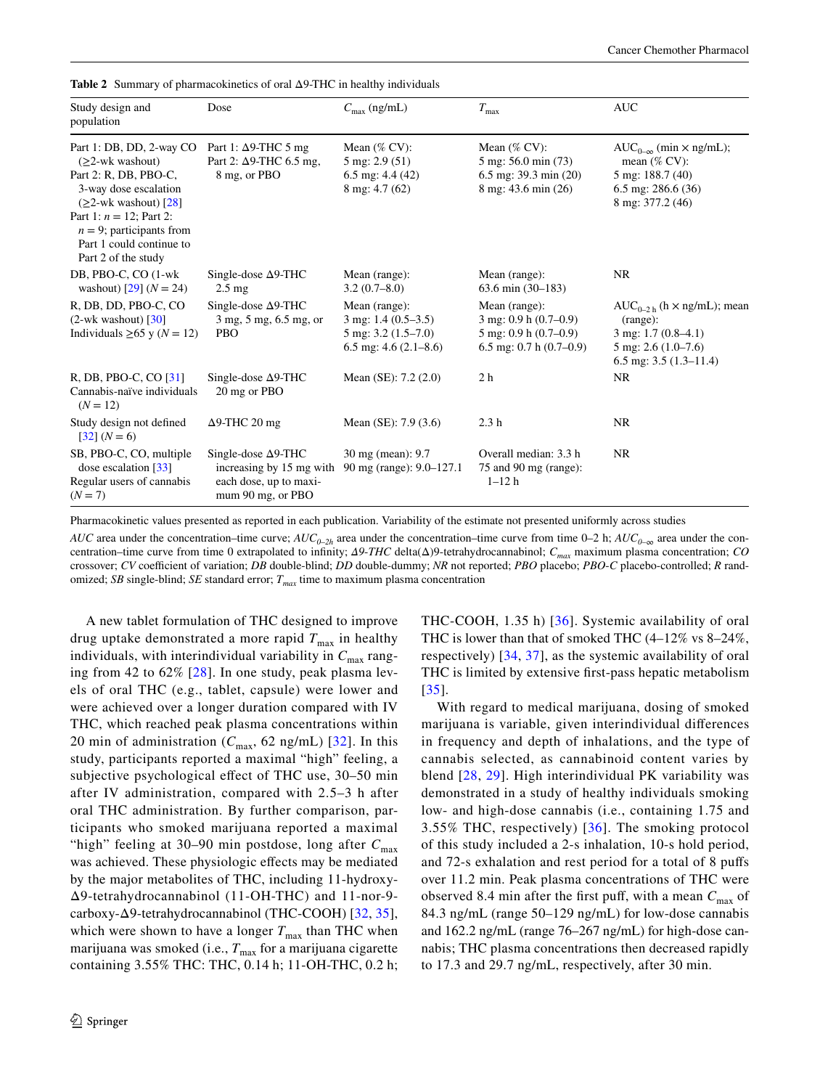| Study design and<br>population                                                                                                                                                                                                                        | Dose                                                                                                  | $C_{\text{max}}$ (ng/mL)                                                                                    | $T_{\rm max}$                                                                                                 | <b>AUC</b>                                                                                                                                        |
|-------------------------------------------------------------------------------------------------------------------------------------------------------------------------------------------------------------------------------------------------------|-------------------------------------------------------------------------------------------------------|-------------------------------------------------------------------------------------------------------------|---------------------------------------------------------------------------------------------------------------|---------------------------------------------------------------------------------------------------------------------------------------------------|
| Part 1: DB, DD, 2-way CO<br>$(22\text{-wk washout})$<br>Part 2: R, DB, PBO-C,<br>3-way dose escalation<br>$(\geq 2$ -wk washout) [28]<br>Part 1: $n = 12$ ; Part 2:<br>$n = 9$ ; participants from<br>Part 1 could continue to<br>Part 2 of the study | Part 1: $\Delta$ 9-THC 5 mg<br>Part 2: $\Delta$ 9-THC 6.5 mg,<br>8 mg, or PBO                         | Mean $(\%$ CV:<br>$5 \text{ mg}$ : 2.9 (51)<br>6.5 mg: $4.4(42)$<br>$8 \text{ mg}$ : 4.7 (62)               | Mean $(\%$ CV:<br>5 mg: 56.0 min (73)<br>$6.5$ mg: 39.3 min $(20)$<br>8 mg: 43.6 min (26)                     | $AUC_{0-\infty}$ (min $\times$ ng/mL);<br>mean $(\%$ CV:<br>5 mg: 188.7 (40)<br>6.5 mg: $286.6(36)$<br>8 mg: 377.2 (46)                           |
| DB, PBO-C, CO (1-wk)<br>washout) [29] $(N = 24)$                                                                                                                                                                                                      | Single-dose $\Delta$ 9-THC<br>$2.5 \text{ mg}$                                                        | Mean (range):<br>3.2(0.7–8.0)                                                                               | Mean (range):<br>$63.6$ min $(30-183)$                                                                        | <b>NR</b>                                                                                                                                         |
| R, DB, DD, PBO-C, CO<br>$(2-wk$ washout) $\lceil 30 \rceil$<br>Individuals $\geq 65$ y ( $N = 12$ )                                                                                                                                                   | Single-dose $\Delta$ 9-THC<br>3 mg, 5 mg, 6.5 mg, or<br><b>PBO</b>                                    | Mean (range):<br>$3 \text{ mg}$ : 1.4 (0.5–3.5)<br>$5 \text{ mg}$ : 3.2 (1.5–7.0)<br>6.5 mg: $4.6(2.1-8.6)$ | Mean (range):<br>$3$ mg: 0.9 h $(0.7-0.9)$<br>$5 \text{ mg}$ : 0.9 h (0.7–0.9)<br>6.5 mg: $0.7 h (0.7 - 0.9)$ | $AUC_{0-2 h}$ (h $\times$ ng/mL); mean<br>(range):<br>$3 \text{ mg}$ : 1.7 (0.8–4.1)<br>$5 \text{ mg}$ : 2.6 (1.0–7.6)<br>6.5 mg: $3.5(1.3-11.4)$ |
| R, DB, PBO-C, CO [31]<br>Cannabis-naïve individuals<br>$(N = 12)$                                                                                                                                                                                     | Single-dose $\Delta$ 9-THC<br>20 mg or PBO                                                            | Mean $(SE)$ : 7.2 $(2.0)$                                                                                   | 2 <sub>h</sub>                                                                                                | NR.                                                                                                                                               |
| Study design not defined<br>$[32] (N=6)$                                                                                                                                                                                                              | $\Delta$ 9-THC 20 mg                                                                                  | Mean $(SE)$ : 7.9 $(3.6)$                                                                                   | 2.3 <sub>h</sub>                                                                                              | <b>NR</b>                                                                                                                                         |
| SB, PBO-C, CO, multiple<br>dose escalation $[33]$<br>Regular users of cannabis<br>$(N = 7)$                                                                                                                                                           | Single-dose $\Delta$ 9-THC<br>increasing by 15 mg with<br>each dose, up to maxi-<br>mum 90 mg, or PBO | 30 mg (mean): 9.7<br>90 mg (range): 9.0-127.1                                                               | Overall median: 3.3 h<br>75 and 90 mg (range):<br>$1 - 12h$                                                   | <b>NR</b>                                                                                                                                         |

<span id="page-3-0"></span>**Table 2** Summary of pharmacokinetics of oral Δ9-THC in healthy individuals

Pharmacokinetic values presented as reported in each publication. Variability of the estimate not presented uniformly across studies

*AUC* area under the concentration–time curve;  $AUC_{0-2h}$  area under the concentration–time curve from time 0–2 h;  $AUC_{0-\infty}$  area under the concentration–time curve from time 0 extrapolated to infnity; *Δ9*-*THC* delta(Δ)9-tetrahydrocannabinol; *Cmax* maximum plasma concentration; *CO* crossover; *CV* coefficient of variation; *DB* double-blind; *DD* double-dummy; *NR* not reported; *PBO* placebo; *PBO-C* placebo-controlled; *R* randomized; *SB* single-blind; *SE* standard error;  $T_{max}$  time to maximum plasma concentration

A new tablet formulation of THC designed to improve drug uptake demonstrated a more rapid  $T_{\text{max}}$  in healthy individuals, with interindividual variability in  $C_{\text{max}}$  ranging from 42 to 62% [[28\]](#page-7-20). In one study, peak plasma levels of oral THC (e.g., tablet, capsule) were lower and were achieved over a longer duration compared with IV THC, which reached peak plasma concentrations within 20 min of administration ( $C_{\text{max}}$ , 62 ng/mL) [[32](#page-7-24)]. In this study, participants reported a maximal "high" feeling, a subjective psychological efect of THC use, 30–50 min after IV administration, compared with 2.5–3 h after oral THC administration. By further comparison, participants who smoked marijuana reported a maximal "high" feeling at 30–90 min postdose, long after  $C_{\text{max}}$ was achieved. These physiologic efects may be mediated by the major metabolites of THC, including 11-hydroxy-Δ9-tetrahydrocannabinol (11-OH-THC) and 11-nor-9 carboxy-Δ9-tetrahydrocannabinol (THC-COOH) [[32,](#page-7-24) [35](#page-7-25)], which were shown to have a longer  $T_{\text{max}}$  than THC when marijuana was smoked (i.e.,  $T_{\text{max}}$  for a marijuana cigarette containing 3.55% THC: THC, 0.14 h; 11-OH-THC, 0.2 h; THC-COOH, 1.35 h) [[36\]](#page-7-26). Systemic availability of oral THC is lower than that of smoked THC (4–12% vs 8–24%, respectively) [[34](#page-7-22), [37](#page-7-27)], as the systemic availability of oral THC is limited by extensive frst-pass hepatic metabolism [[35](#page-7-25)].

With regard to medical marijuana, dosing of smoked marijuana is variable, given interindividual diferences in frequency and depth of inhalations, and the type of cannabis selected, as cannabinoid content varies by blend [[28](#page-7-20), [29\]](#page-7-28). High interindividual PK variability was demonstrated in a study of healthy individuals smoking low- and high-dose cannabis (i.e., containing 1.75 and 3.55% THC, respectively) [[36\]](#page-7-26). The smoking protocol of this study included a 2-s inhalation, 10-s hold period, and 72-s exhalation and rest period for a total of 8 pufs over 11.2 min. Peak plasma concentrations of THC were observed 8.4 min after the first puff, with a mean  $C_{\text{max}}$  of 84.3 ng/mL (range 50–129 ng/mL) for low-dose cannabis and 162.2 ng/mL (range 76–267 ng/mL) for high-dose cannabis; THC plasma concentrations then decreased rapidly to 17.3 and 29.7 ng/mL, respectively, after 30 min.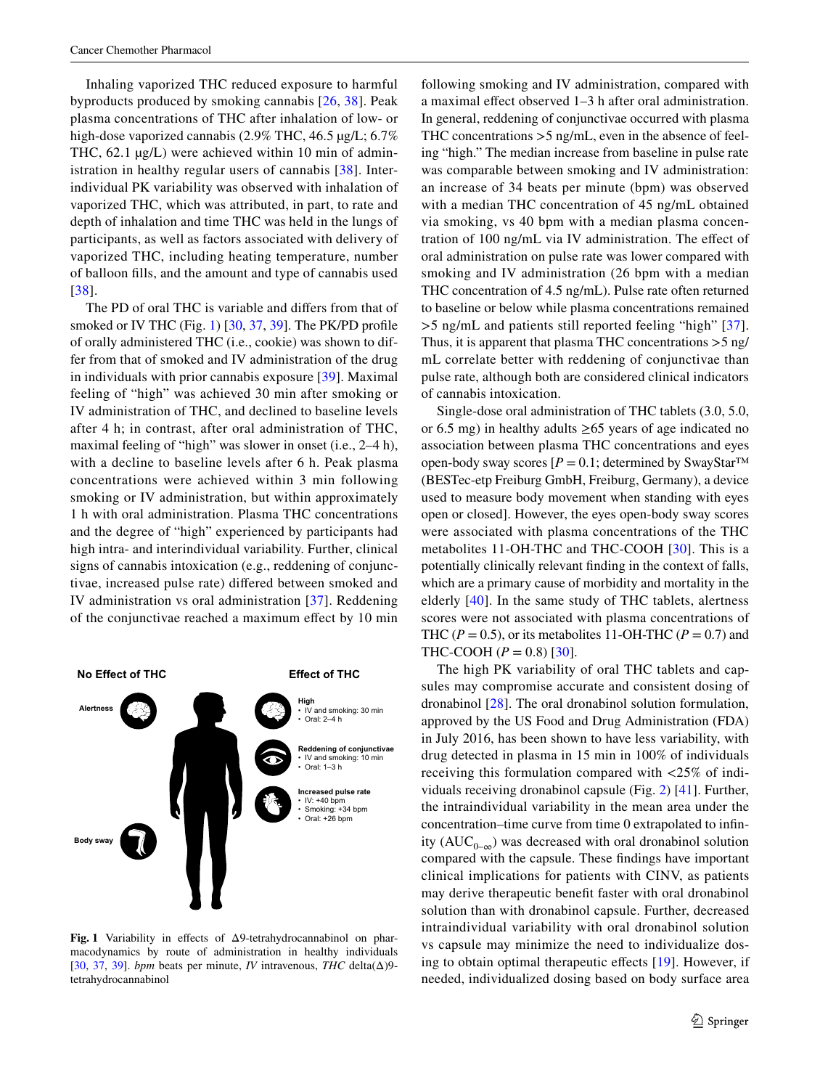Inhaling vaporized THC reduced exposure to harmful byproducts produced by smoking cannabis [\[26,](#page-7-18) [38](#page-7-30)]. Peak plasma concentrations of THC after inhalation of low- or high-dose vaporized cannabis (2.9% THC, 46.5 µg/L; 6.7% THC,  $62.1 \mu g/L$ ) were achieved within 10 min of administration in healthy regular users of cannabis [\[38\]](#page-7-30). Interindividual PK variability was observed with inhalation of vaporized THC, which was attributed, in part, to rate and depth of inhalation and time THC was held in the lungs of participants, as well as factors associated with delivery of vaporized THC, including heating temperature, number of balloon flls, and the amount and type of cannabis used [[38\]](#page-7-30).

The PD of oral THC is variable and difers from that of smoked or IV THC (Fig. [1](#page-4-0)) [\[30](#page-7-29), [37](#page-7-27), [39\]](#page-7-31). The PK/PD profile of orally administered THC (i.e., cookie) was shown to differ from that of smoked and IV administration of the drug in individuals with prior cannabis exposure [[39](#page-7-31)]. Maximal feeling of "high" was achieved 30 min after smoking or IV administration of THC, and declined to baseline levels after 4 h; in contrast, after oral administration of THC, maximal feeling of "high" was slower in onset (i.e., 2–4 h), with a decline to baseline levels after 6 h. Peak plasma concentrations were achieved within 3 min following smoking or IV administration, but within approximately 1 h with oral administration. Plasma THC concentrations and the degree of "high" experienced by participants had high intra- and interindividual variability. Further, clinical signs of cannabis intoxication (e.g., reddening of conjunctivae, increased pulse rate) difered between smoked and IV administration vs oral administration [\[37\]](#page-7-27). Reddening of the conjunctivae reached a maximum efect by 10 min



<span id="page-4-0"></span>**Fig. 1** Variability in efects of Δ9-tetrahydrocannabinol on pharmacodynamics by route of administration in healthy individuals [[30](#page-7-29), [37](#page-7-27), [39\]](#page-7-31). *bpm* beats per minute, *IV* intravenous, *THC* delta(Δ)9 tetrahydrocannabinol

following smoking and IV administration, compared with a maximal efect observed 1–3 h after oral administration. In general, reddening of conjunctivae occurred with plasma THC concentrations >5 ng/mL, even in the absence of feeling "high." The median increase from baseline in pulse rate was comparable between smoking and IV administration: an increase of 34 beats per minute (bpm) was observed with a median THC concentration of 45 ng/mL obtained via smoking, vs 40 bpm with a median plasma concentration of 100 ng/mL via IV administration. The efect of oral administration on pulse rate was lower compared with smoking and IV administration (26 bpm with a median THC concentration of 4.5 ng/mL). Pulse rate often returned to baseline or below while plasma concentrations remained >5 ng/mL and patients still reported feeling "high" [[37](#page-7-27)]. Thus, it is apparent that plasma THC concentrations >5 ng/ mL correlate better with reddening of conjunctivae than pulse rate, although both are considered clinical indicators of cannabis intoxication.

Single-dose oral administration of THC tablets (3.0, 5.0, or 6.5 mg) in healthy adults ≥65 years of age indicated no association between plasma THC concentrations and eyes open-body sway scores  $[P = 0.1;$  determined by SwayStar<sup>TM</sup> (BESTec-etp Freiburg GmbH, Freiburg, Germany), a device used to measure body movement when standing with eyes open or closed]. However, the eyes open-body sway scores were associated with plasma concentrations of the THC metabolites 11-OH-THC and THC-COOH [[30](#page-7-29)]. This is a potentially clinically relevant fnding in the context of falls, which are a primary cause of morbidity and mortality in the elderly [\[40\]](#page-7-32). In the same study of THC tablets, alertness scores were not associated with plasma concentrations of THC ( $P = 0.5$ ), or its metabolites 11-OH-THC ( $P = 0.7$ ) and THC-COOH ( $P = 0.8$ ) [[30\]](#page-7-29).

The high PK variability of oral THC tablets and capsules may compromise accurate and consistent dosing of dronabinol [\[28](#page-7-20)]. The oral dronabinol solution formulation, approved by the US Food and Drug Administration (FDA) in July 2016, has been shown to have less variability, with drug detected in plasma in 15 min in 100% of individuals receiving this formulation compared with <25% of individuals receiving dronabinol capsule (Fig. [2](#page-5-0)) [\[41](#page-7-33)]. Further, the intraindividual variability in the mean area under the concentration–time curve from time 0 extrapolated to infnity ( $AUC_{0-\infty}$ ) was decreased with oral dronabinol solution compared with the capsule. These fndings have important clinical implications for patients with CINV, as patients may derive therapeutic beneft faster with oral dronabinol solution than with dronabinol capsule. Further, decreased intraindividual variability with oral dronabinol solution vs capsule may minimize the need to individualize dosing to obtain optimal therapeutic efects [\[19](#page-7-11)]. However, if needed, individualized dosing based on body surface area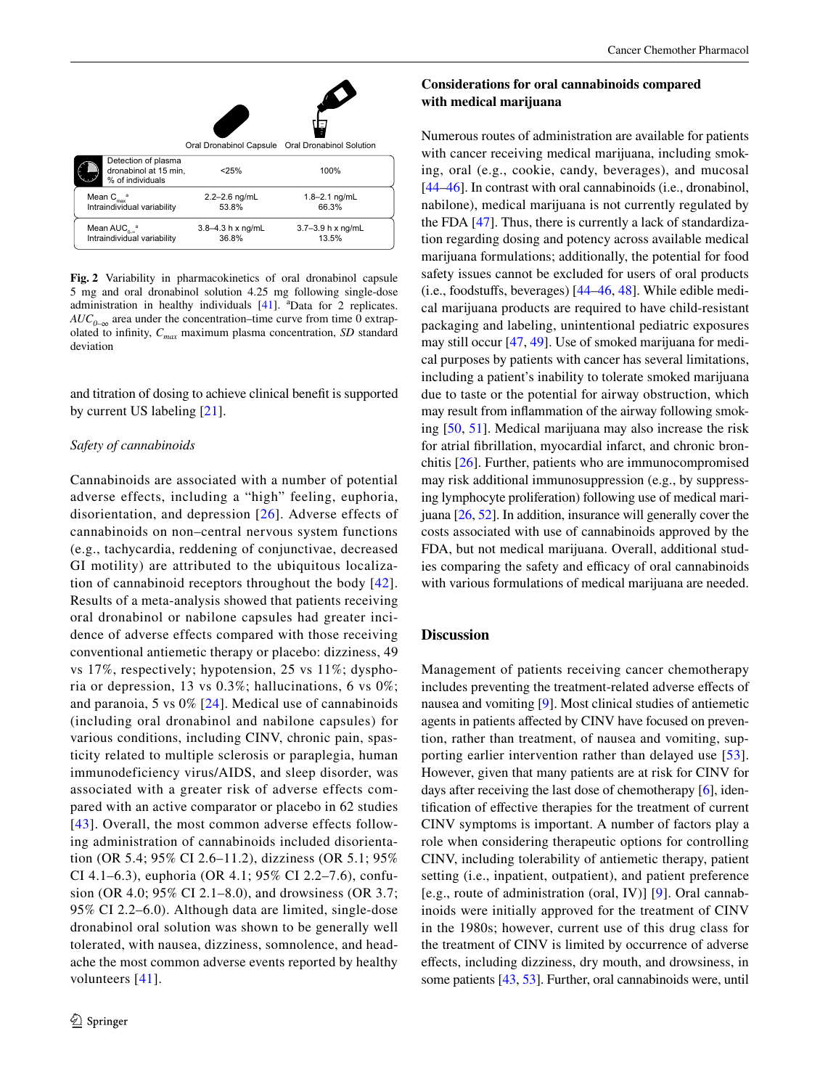|                                                                  |                                | ₩                                                |
|------------------------------------------------------------------|--------------------------------|--------------------------------------------------|
|                                                                  |                                | Oral Dronabinol Capsule Oral Dronabinol Solution |
| Detection of plasma<br>dronabinol at 15 min.<br>% of individuals | < 25%                          | 100%                                             |
| Mean $C_{\text{max}}^a$<br>Intraindividual variability           | $2.2 - 2.6$ ng/mL<br>53.8%     | $1.8 - 2.1$ ng/mL<br>66.3%                       |
| Mean $AUC_{0.8}$ <sup>a</sup><br>Intraindividual variability     | $3.8 - 4.3$ h x ng/mL<br>36.8% | $3.7 - 3.9$ h x ng/mL<br>13.5%                   |

<span id="page-5-0"></span>**Fig. 2** Variability in pharmacokinetics of oral dronabinol capsule 5 mg and oral dronabinol solution 4.25 mg following single-dose administration in healthy individuals  $[41]$ . <sup>a</sup>Data for 2 replicates.  $AUC_{0-\infty}$  area under the concentration–time curve from time 0 extrapolated to infnity, *Cmax* maximum plasma concentration, *SD* standard deviation

and titration of dosing to achieve clinical beneft is supported by current US labeling [\[21\]](#page-7-12).

#### *Safety of cannabinoids*

Cannabinoids are associated with a number of potential adverse effects, including a "high" feeling, euphoria, disorientation, and depression [[26\]](#page-7-18). Adverse effects of cannabinoids on non–central nervous system functions (e.g., tachycardia, reddening of conjunctivae, decreased GI motility) are attributed to the ubiquitous localization of cannabinoid receptors throughout the body [[42\]](#page-8-0). Results of a meta-analysis showed that patients receiving oral dronabinol or nabilone capsules had greater incidence of adverse effects compared with those receiving conventional antiemetic therapy or placebo: dizziness, 49 vs 17%, respectively; hypotension, 25 vs 11%; dysphoria or depression, 13 vs 0.3%; hallucinations, 6 vs 0%; and paranoia, 5 vs 0% [[24\]](#page-7-16). Medical use of cannabinoids (including oral dronabinol and nabilone capsules) for various conditions, including CINV, chronic pain, spasticity related to multiple sclerosis or paraplegia, human immunodeficiency virus/AIDS, and sleep disorder, was associated with a greater risk of adverse effects compared with an active comparator or placebo in 62 studies [[43](#page-8-1)]. Overall, the most common adverse effects following administration of cannabinoids included disorientation (OR 5.4; 95% CI 2.6–11.2), dizziness (OR 5.1; 95% CI 4.1–6.3), euphoria (OR 4.1; 95% CI 2.2–7.6), confusion (OR 4.0; 95% CI 2.1–8.0), and drowsiness (OR 3.7; 95% CI 2.2–6.0). Although data are limited, single-dose dronabinol oral solution was shown to be generally well tolerated, with nausea, dizziness, somnolence, and headache the most common adverse events reported by healthy volunteers [[41\]](#page-7-33).

# **Considerations for oral cannabinoids compared with medical marijuana**

Numerous routes of administration are available for patients with cancer receiving medical marijuana, including smoking, oral (e.g., cookie, candy, beverages), and mucosal [\[44](#page-8-2)[–46](#page-8-3)]. In contrast with oral cannabinoids (i.e., dronabinol, nabilone), medical marijuana is not currently regulated by the FDA [\[47](#page-8-4)]. Thus, there is currently a lack of standardization regarding dosing and potency across available medical marijuana formulations; additionally, the potential for food safety issues cannot be excluded for users of oral products (i.e., foodstufs, beverages) [\[44](#page-8-2)[–46](#page-8-3), [48](#page-8-5)]. While edible medical marijuana products are required to have child-resistant packaging and labeling, unintentional pediatric exposures may still occur [\[47](#page-8-4), [49](#page-8-6)]. Use of smoked marijuana for medical purposes by patients with cancer has several limitations, including a patient's inability to tolerate smoked marijuana due to taste or the potential for airway obstruction, which may result from infammation of the airway following smoking [\[50](#page-8-7), [51\]](#page-8-8). Medical marijuana may also increase the risk for atrial fbrillation, myocardial infarct, and chronic bronchitis [[26\]](#page-7-18). Further, patients who are immunocompromised may risk additional immunosuppression (e.g., by suppressing lymphocyte proliferation) following use of medical marijuana [\[26,](#page-7-18) [52](#page-8-9)]. In addition, insurance will generally cover the costs associated with use of cannabinoids approved by the FDA, but not medical marijuana. Overall, additional studies comparing the safety and efficacy of oral cannabinoids with various formulations of medical marijuana are needed.

### **Discussion**

Management of patients receiving cancer chemotherapy includes preventing the treatment-related adverse efects of nausea and vomiting [\[9](#page-7-1)]. Most clinical studies of antiemetic agents in patients afected by CINV have focused on prevention, rather than treatment, of nausea and vomiting, supporting earlier intervention rather than delayed use [[53](#page-8-10)]. However, given that many patients are at risk for CINV for days after receiving the last dose of chemotherapy [[6\]](#page-6-5), identifcation of efective therapies for the treatment of current CINV symptoms is important. A number of factors play a role when considering therapeutic options for controlling CINV, including tolerability of antiemetic therapy, patient setting (i.e., inpatient, outpatient), and patient preference [e.g., route of administration (oral, IV)] [[9\]](#page-7-1). Oral cannabinoids were initially approved for the treatment of CINV in the 1980s; however, current use of this drug class for the treatment of CINV is limited by occurrence of adverse efects, including dizziness, dry mouth, and drowsiness, in some patients [\[43](#page-8-1), [53\]](#page-8-10). Further, oral cannabinoids were, until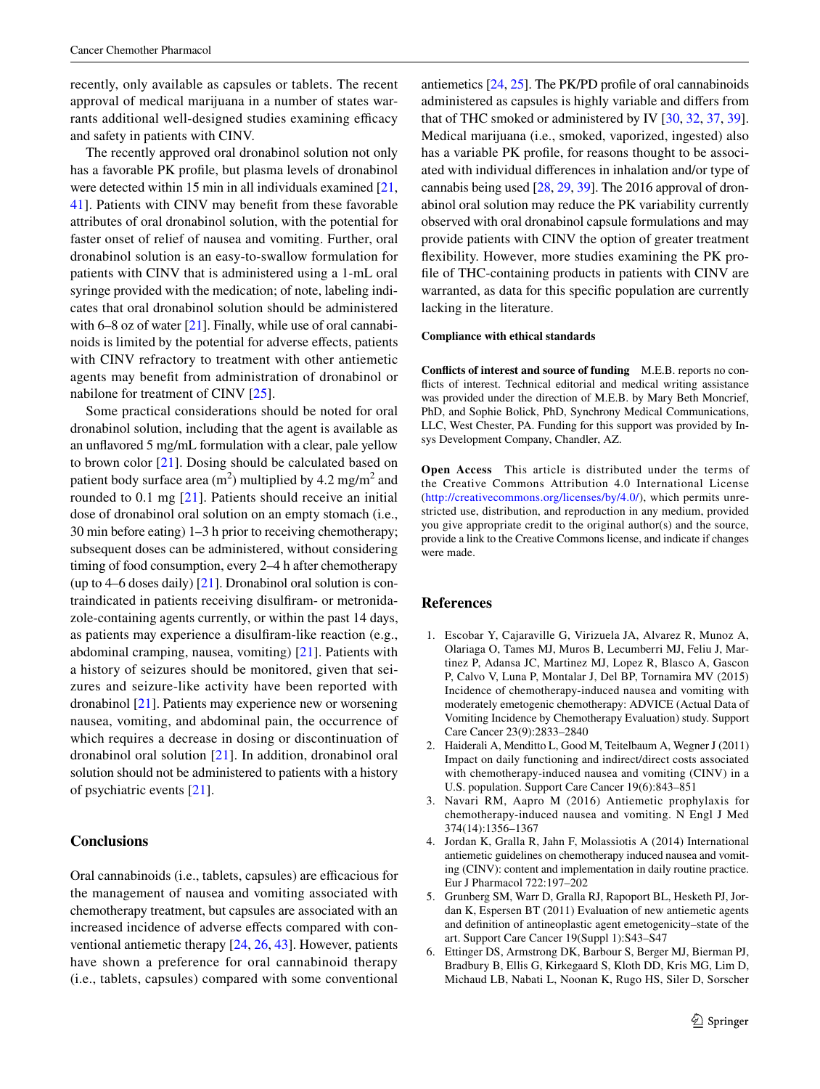recently, only available as capsules or tablets. The recent approval of medical marijuana in a number of states warrants additional well-designed studies examining efficacy and safety in patients with CINV.

The recently approved oral dronabinol solution not only has a favorable PK profle, but plasma levels of dronabinol were detected within 15 min in all individuals examined [[21,](#page-7-12) [41](#page-7-33)]. Patients with CINV may beneft from these favorable attributes of oral dronabinol solution, with the potential for faster onset of relief of nausea and vomiting. Further, oral dronabinol solution is an easy-to-swallow formulation for patients with CINV that is administered using a 1-mL oral syringe provided with the medication; of note, labeling indicates that oral dronabinol solution should be administered with 6–8 oz of water  $[21]$  $[21]$ . Finally, while use of oral cannabinoids is limited by the potential for adverse efects, patients with CINV refractory to treatment with other antiemetic agents may beneft from administration of dronabinol or nabilone for treatment of CINV [\[25](#page-7-17)].

Some practical considerations should be noted for oral dronabinol solution, including that the agent is available as an unfavored 5 mg/mL formulation with a clear, pale yellow to brown color [[21\]](#page-7-12). Dosing should be calculated based on patient body surface area  $(m^2)$  multiplied by 4.2 mg/m<sup>2</sup> and rounded to 0.1 mg [[21](#page-7-12)]. Patients should receive an initial dose of dronabinol oral solution on an empty stomach (i.e., 30 min before eating) 1–3 h prior to receiving chemotherapy; subsequent doses can be administered, without considering timing of food consumption, every 2–4 h after chemotherapy (up to 4–6 doses daily)  $[21]$ . Dronabinol oral solution is contraindicated in patients receiving disulfram- or metronidazole-containing agents currently, or within the past 14 days, as patients may experience a disulfram-like reaction (e.g., abdominal cramping, nausea, vomiting) [[21\]](#page-7-12). Patients with a history of seizures should be monitored, given that seizures and seizure-like activity have been reported with dronabinol [\[21](#page-7-12)]. Patients may experience new or worsening nausea, vomiting, and abdominal pain, the occurrence of which requires a decrease in dosing or discontinuation of dronabinol oral solution [\[21\]](#page-7-12). In addition, dronabinol oral solution should not be administered to patients with a history of psychiatric events [[21\]](#page-7-12).

### **Conclusions**

Oral cannabinoids (i.e., tablets, capsules) are efficacious for the management of nausea and vomiting associated with chemotherapy treatment, but capsules are associated with an increased incidence of adverse efects compared with conventional antiemetic therapy [[24,](#page-7-16) [26,](#page-7-18) [43](#page-8-1)]. However, patients have shown a preference for oral cannabinoid therapy (i.e., tablets, capsules) compared with some conventional antiemetics [\[24](#page-7-16), [25\]](#page-7-17). The PK/PD profle of oral cannabinoids administered as capsules is highly variable and difers from that of THC smoked or administered by IV [[30,](#page-7-29) [32,](#page-7-24) [37](#page-7-27), [39](#page-7-31)]. Medical marijuana (i.e., smoked, vaporized, ingested) also has a variable PK profle, for reasons thought to be associated with individual diferences in inhalation and/or type of cannabis being used [\[28](#page-7-20), [29,](#page-7-28) [39](#page-7-31)]. The 2016 approval of dronabinol oral solution may reduce the PK variability currently observed with oral dronabinol capsule formulations and may provide patients with CINV the option of greater treatment fexibility. However, more studies examining the PK profle of THC-containing products in patients with CINV are warranted, as data for this specifc population are currently lacking in the literature.

#### **Compliance with ethical standards**

**Conficts of interest and source of funding** M.E.B. reports no conficts of interest. Technical editorial and medical writing assistance was provided under the direction of M.E.B. by Mary Beth Moncrief, PhD, and Sophie Bolick, PhD, Synchrony Medical Communications, LLC, West Chester, PA. Funding for this support was provided by Insys Development Company, Chandler, AZ.

**Open Access** This article is distributed under the terms of the Creative Commons Attribution 4.0 International License (<http://creativecommons.org/licenses/by/4.0/>), which permits unrestricted use, distribution, and reproduction in any medium, provided you give appropriate credit to the original author(s) and the source, provide a link to the Creative Commons license, and indicate if changes were made.

### **References**

- <span id="page-6-0"></span>1. Escobar Y, Cajaraville G, Virizuela JA, Alvarez R, Munoz A, Olariaga O, Tames MJ, Muros B, Lecumberri MJ, Feliu J, Martinez P, Adansa JC, Martinez MJ, Lopez R, Blasco A, Gascon P, Calvo V, Luna P, Montalar J, Del BP, Tornamira MV (2015) Incidence of chemotherapy-induced nausea and vomiting with moderately emetogenic chemotherapy: ADVICE (Actual Data of Vomiting Incidence by Chemotherapy Evaluation) study. Support Care Cancer 23(9):2833–2840
- <span id="page-6-1"></span>2. Haiderali A, Menditto L, Good M, Teitelbaum A, Wegner J (2011) Impact on daily functioning and indirect/direct costs associated with chemotherapy-induced nausea and vomiting (CINV) in a U.S. population. Support Care Cancer 19(6):843–851
- <span id="page-6-2"></span>3. Navari RM, Aapro M (2016) Antiemetic prophylaxis for chemotherapy-induced nausea and vomiting. N Engl J Med 374(14):1356–1367
- <span id="page-6-3"></span>4. Jordan K, Gralla R, Jahn F, Molassiotis A (2014) International antiemetic guidelines on chemotherapy induced nausea and vomiting (CINV): content and implementation in daily routine practice. Eur J Pharmacol 722:197–202
- <span id="page-6-4"></span>5. Grunberg SM, Warr D, Gralla RJ, Rapoport BL, Hesketh PJ, Jordan K, Espersen BT (2011) Evaluation of new antiemetic agents and defnition of antineoplastic agent emetogenicity–state of the art. Support Care Cancer 19(Suppl 1):S43–S47
- <span id="page-6-5"></span>6. Ettinger DS, Armstrong DK, Barbour S, Berger MJ, Bierman PJ, Bradbury B, Ellis G, Kirkegaard S, Kloth DD, Kris MG, Lim D, Michaud LB, Nabati L, Noonan K, Rugo HS, Siler D, Sorscher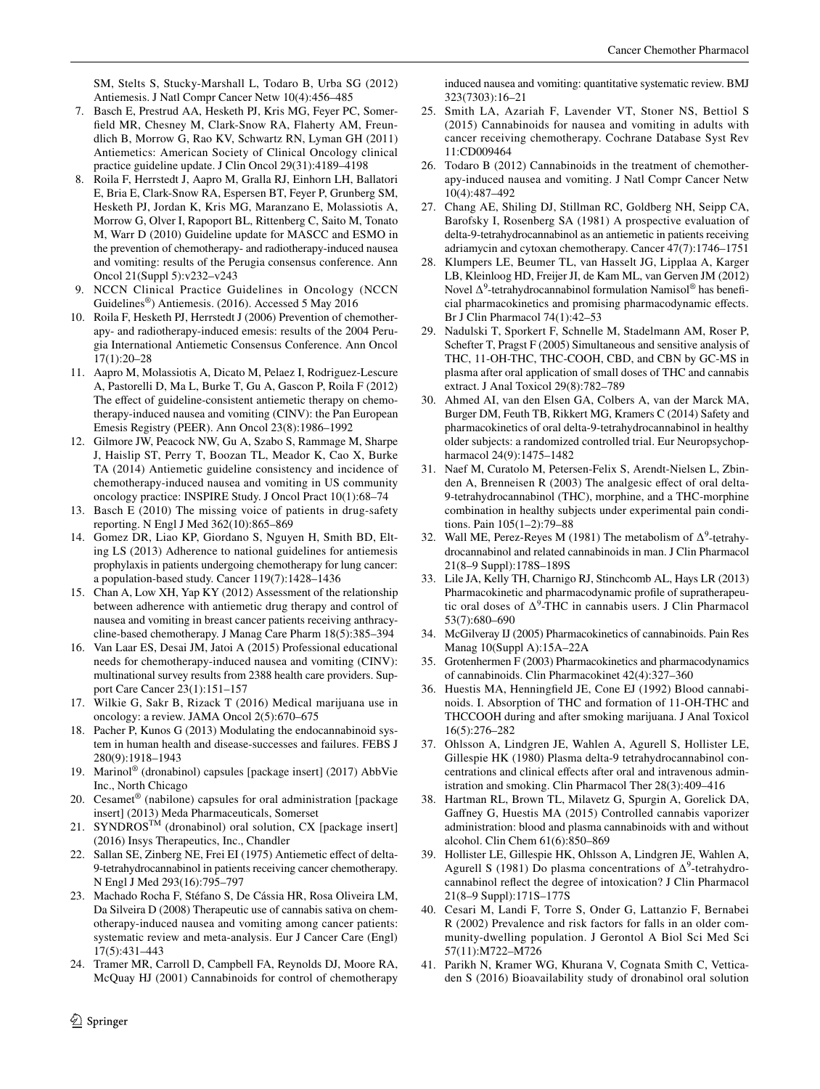SM, Stelts S, Stucky-Marshall L, Todaro B, Urba SG (2012) Antiemesis. J Natl Compr Cancer Netw 10(4):456–485

- <span id="page-7-0"></span>7. Basch E, Prestrud AA, Hesketh PJ, Kris MG, Feyer PC, Somerfeld MR, Chesney M, Clark-Snow RA, Flaherty AM, Freundlich B, Morrow G, Rao KV, Schwartz RN, Lyman GH (2011) Antiemetics: American Society of Clinical Oncology clinical practice guideline update. J Clin Oncol 29(31):4189–4198
- <span id="page-7-13"></span>8. Roila F, Herrstedt J, Aapro M, Gralla RJ, Einhorn LH, Ballatori E, Bria E, Clark-Snow RA, Espersen BT, Feyer P, Grunberg SM, Hesketh PJ, Jordan K, Kris MG, Maranzano E, Molassiotis A, Morrow G, Olver I, Rapoport BL, Rittenberg C, Saito M, Tonato M, Warr D (2010) Guideline update for MASCC and ESMO in the prevention of chemotherapy- and radiotherapy-induced nausea and vomiting: results of the Perugia consensus conference. Ann Oncol 21(Suppl 5):v232–v243
- <span id="page-7-1"></span>9. NCCN Clinical Practice Guidelines in Oncology (NCCN Guidelines®) Antiemesis. (2016). Accessed 5 May 2016
- <span id="page-7-2"></span>10. Roila F, Hesketh PJ, Herrstedt J (2006) Prevention of chemotherapy- and radiotherapy-induced emesis: results of the 2004 Perugia International Antiemetic Consensus Conference. Ann Oncol 17(1):20–28
- <span id="page-7-3"></span>11. Aapro M, Molassiotis A, Dicato M, Pelaez I, Rodriguez-Lescure A, Pastorelli D, Ma L, Burke T, Gu A, Gascon P, Roila F (2012) The effect of guideline-consistent antiemetic therapy on chemotherapy-induced nausea and vomiting (CINV): the Pan European Emesis Registry (PEER). Ann Oncol 23(8):1986–1992
- <span id="page-7-4"></span>12. Gilmore JW, Peacock NW, Gu A, Szabo S, Rammage M, Sharpe J, Haislip ST, Perry T, Boozan TL, Meador K, Cao X, Burke TA (2014) Antiemetic guideline consistency and incidence of chemotherapy-induced nausea and vomiting in US community oncology practice: INSPIRE Study. J Oncol Pract 10(1):68–74
- <span id="page-7-5"></span>13. Basch E (2010) The missing voice of patients in drug-safety reporting. N Engl J Med 362(10):865–869
- <span id="page-7-6"></span>14. Gomez DR, Liao KP, Giordano S, Nguyen H, Smith BD, Elting LS (2013) Adherence to national guidelines for antiemesis prophylaxis in patients undergoing chemotherapy for lung cancer: a population-based study. Cancer 119(7):1428–1436
- <span id="page-7-8"></span>15. Chan A, Low XH, Yap KY (2012) Assessment of the relationship between adherence with antiemetic drug therapy and control of nausea and vomiting in breast cancer patients receiving anthracycline-based chemotherapy. J Manag Care Pharm 18(5):385–394
- <span id="page-7-7"></span>16. Van Laar ES, Desai JM, Jatoi A (2015) Professional educational needs for chemotherapy-induced nausea and vomiting (CINV): multinational survey results from 2388 health care providers. Support Care Cancer 23(1):151–157
- <span id="page-7-9"></span>17. Wilkie G, Sakr B, Rizack T (2016) Medical marijuana use in oncology: a review. JAMA Oncol 2(5):670–675
- <span id="page-7-10"></span>18. Pacher P, Kunos G (2013) Modulating the endocannabinoid system in human health and disease-successes and failures. FEBS J 280(9):1918–1943
- <span id="page-7-11"></span>19. Marinol® (dronabinol) capsules [package insert] (2017) AbbVie Inc., North Chicago
- 20. Cesamet® (nabilone) capsules for oral administration [package insert] (2013) Meda Pharmaceuticals, Somerset
- <span id="page-7-12"></span>21. SYNDROS<sup>TM</sup> (dronabinol) oral solution, CX [package insert] (2016) Insys Therapeutics, Inc., Chandler
- <span id="page-7-14"></span>22. Sallan SE, Zinberg NE, Frei EI (1975) Antiemetic efect of delta-9-tetrahydrocannabinol in patients receiving cancer chemotherapy. N Engl J Med 293(16):795–797
- <span id="page-7-15"></span>23. Machado Rocha F, Stéfano S, De Cássia HR, Rosa Oliveira LM, Da Silveira D (2008) Therapeutic use of cannabis sativa on chemotherapy-induced nausea and vomiting among cancer patients: systematic review and meta-analysis. Eur J Cancer Care (Engl) 17(5):431–443
- <span id="page-7-16"></span>24. Tramer MR, Carroll D, Campbell FA, Reynolds DJ, Moore RA, McQuay HJ (2001) Cannabinoids for control of chemotherapy

 $\circled{2}$  Springer

induced nausea and vomiting: quantitative systematic review. BMJ 323(7303):16–21

- <span id="page-7-17"></span>25. Smith LA, Azariah F, Lavender VT, Stoner NS, Bettiol S (2015) Cannabinoids for nausea and vomiting in adults with cancer receiving chemotherapy. Cochrane Database Syst Rev 11:CD009464
- <span id="page-7-18"></span>26. Todaro B (2012) Cannabinoids in the treatment of chemotherapy-induced nausea and vomiting. J Natl Compr Cancer Netw 10(4):487–492
- <span id="page-7-19"></span>27. Chang AE, Shiling DJ, Stillman RC, Goldberg NH, Seipp CA, Barofsky I, Rosenberg SA (1981) A prospective evaluation of delta-9-tetrahydrocannabinol as an antiemetic in patients receiving adriamycin and cytoxan chemotherapy. Cancer 47(7):1746–1751
- <span id="page-7-20"></span>28. Klumpers LE, Beumer TL, van Hasselt JG, Lipplaa A, Karger LB, Kleinloog HD, Freijer JI, de Kam ML, van Gerven JM (2012) Novel ∆<sup>9</sup>-tetrahydrocannabinol formulation Namisol<sup>®</sup> has beneficial pharmacokinetics and promising pharmacodynamic efects. Br J Clin Pharmacol 74(1):42–53
- <span id="page-7-28"></span>29. Nadulski T, Sporkert F, Schnelle M, Stadelmann AM, Roser P, Schefter T, Pragst F (2005) Simultaneous and sensitive analysis of THC, 11-OH-THC, THC-COOH, CBD, and CBN by GC-MS in plasma after oral application of small doses of THC and cannabis extract. J Anal Toxicol 29(8):782–789
- <span id="page-7-29"></span>30. Ahmed AI, van den Elsen GA, Colbers A, van der Marck MA, Burger DM, Feuth TB, Rikkert MG, Kramers C (2014) Safety and pharmacokinetics of oral delta-9-tetrahydrocannabinol in healthy older subjects: a randomized controlled trial. Eur Neuropsychopharmacol 24(9):1475–1482
- <span id="page-7-23"></span>31. Naef M, Curatolo M, Petersen-Felix S, Arendt-Nielsen L, Zbinden A, Brenneisen R (2003) The analgesic efect of oral delta-9-tetrahydrocannabinol (THC), morphine, and a THC-morphine combination in healthy subjects under experimental pain conditions. Pain 105(1–2):79–88
- <span id="page-7-24"></span>32. Wall ME, Perez-Reyes M (1981) The metabolism of  $\Delta^9$ -tetrahydrocannabinol and related cannabinoids in man. J Clin Pharmacol 21(8–9 Suppl):178S–189S
- <span id="page-7-21"></span>33. Lile JA, Kelly TH, Charnigo RJ, Stinchcomb AL, Hays LR (2013) Pharmacokinetic and pharmacodynamic profle of supratherapeutic oral doses of  $\Delta^9$ -THC in cannabis users. J Clin Pharmacol 53(7):680–690
- <span id="page-7-22"></span>34. McGilveray IJ (2005) Pharmacokinetics of cannabinoids. Pain Res Manag 10(Suppl A):15A–22A
- <span id="page-7-25"></span>35. Grotenhermen F (2003) Pharmacokinetics and pharmacodynamics of cannabinoids. Clin Pharmacokinet 42(4):327–360
- <span id="page-7-26"></span>36. Huestis MA, Henningfeld JE, Cone EJ (1992) Blood cannabinoids. I. Absorption of THC and formation of 11-OH-THC and THCCOOH during and after smoking marijuana. J Anal Toxicol 16(5):276–282
- <span id="page-7-27"></span>37. Ohlsson A, Lindgren JE, Wahlen A, Agurell S, Hollister LE, Gillespie HK (1980) Plasma delta-9 tetrahydrocannabinol concentrations and clinical efects after oral and intravenous administration and smoking. Clin Pharmacol Ther 28(3):409–416
- <span id="page-7-30"></span>38. Hartman RL, Brown TL, Milavetz G, Spurgin A, Gorelick DA, Gafney G, Huestis MA (2015) Controlled cannabis vaporizer administration: blood and plasma cannabinoids with and without alcohol. Clin Chem 61(6):850–869
- <span id="page-7-31"></span>39. Hollister LE, Gillespie HK, Ohlsson A, Lindgren JE, Wahlen A, Agurell S (1981) Do plasma concentrations of  $\Delta^9$ -tetrahydrocannabinol refect the degree of intoxication? J Clin Pharmacol 21(8–9 Suppl):171S–177S
- <span id="page-7-32"></span>40. Cesari M, Landi F, Torre S, Onder G, Lattanzio F, Bernabei R (2002) Prevalence and risk factors for falls in an older community-dwelling population. J Gerontol A Biol Sci Med Sci 57(11):M722–M726
- <span id="page-7-33"></span>41. Parikh N, Kramer WG, Khurana V, Cognata Smith C, Vetticaden S (2016) Bioavailability study of dronabinol oral solution